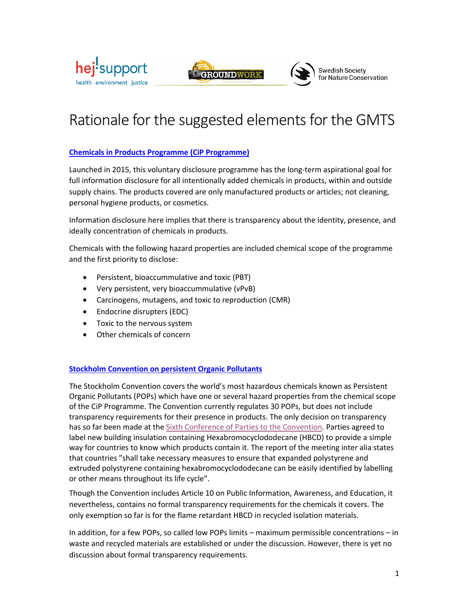



# Swedish Society<br>for Nature Conservation

# Rationale for the suggested elements for the GMTS

# **Chemicals in Products Programme (CiP Programme)**

Launched in 2015, this voluntary disclosure programme has the long-term aspirational goal for full information disclosure for all intentionally added chemicals in products, within and outside supply chains. The products covered are only manufactured products or articles; not cleaning, personal hygiene products, or cosmetics.

Information disclosure here implies that there is transparency about the identity, presence, and ideally concentration of chemicals in products.

Chemicals with the following hazard properties are included chemical scope of the programme and the first priority to disclose:

- Persistent, bioaccummulative and toxic (PBT)
- Very persistent, very bioaccummulative (vPvB)
- Carcinogens, mutagens, and toxic to reproduction (CMR)
- Endocrine disrupters (EDC)
- Toxic to the nervous system
- Other chemicals of concern

### **Stockholm Convention on persistent Organic Pollutants**

The Stockholm Convention covers the world's most hazardous chemicals known as Persistent Organic Pollutants (POPs) which have one or several hazard properties from the chemical scope of the CiP Programme. The Convention currently regulates 30 POPs, but does not include transparency requirements for their presence in products. The only decision on transparency has so far been made at the Sixth Conference of Parties to the Convention. Parties agreed to label new building insulation containing Hexabromocyclododecane (HBCD) to provide a simple way for countries to know which products contain it. The report of the meeting inter alia states that countries "shall take necessary measures to ensure that expanded polystyrene and extruded polystyrene containing hexabromocyclododecane can be easily identified by labelling or other means throughout its life cycle".

Though the Convention includes Article 10 on Public Information, Awareness, and Education, it nevertheless, contains no formal transparency requirements for the chemicals it covers. The only exemption so far is for the flame retardant HBCD in recycled isolation materials.

In addition, for a few POPs, so called low POPs limits – maximum permissible concentrations – in waste and recycled materials are established or under the discussion. However, there is yet no discussion about formal transparency requirements.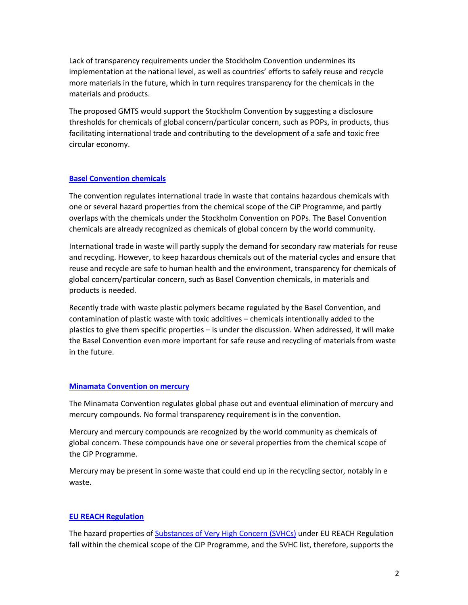Lack of transparency requirements under the Stockholm Convention undermines its implementation at the national level, as well as countries' efforts to safely reuse and recycle more materials in the future, which in turn requires transparency for the chemicals in the materials and products.

The proposed GMTS would support the Stockholm Convention by suggesting a disclosure thresholds for chemicals of global concern/particular concern, such as POPs, in products, thus facilitating international trade and contributing to the development of a safe and toxic free circular economy.

#### **Basel Convention chemicals**

The convention regulates international trade in waste that contains hazardous chemicals with one or several hazard properties from the chemical scope of the CiP Programme, and partly overlaps with the chemicals under the Stockholm Convention on POPs. The Basel Convention chemicals are already recognized as chemicals of global concern by the world community.

International trade in waste will partly supply the demand for secondary raw materials for reuse and recycling. However, to keep hazardous chemicals out of the material cycles and ensure that reuse and recycle are safe to human health and the environment, transparency for chemicals of global concern/particular concern, such as Basel Convention chemicals, in materials and products is needed.

Recently trade with waste plastic polymers became regulated by the Basel Convention, and contamination of plastic waste with toxic additives – chemicals intentionally added to the plastics to give them specific properties – is under the discussion. When addressed, it will make the Basel Convention even more important for safe reuse and recycling of materials from waste in the future.

#### **Minamata Convention on mercury**

The Minamata Convention regulates global phase out and eventual elimination of mercury and mercury compounds. No formal transparency requirement is in the convention.

Mercury and mercury compounds are recognized by the world community as chemicals of global concern. These compounds have one or several properties from the chemical scope of the CiP Programme.

Mercury may be present in some waste that could end up in the recycling sector, notably in e waste.

#### **EU REACH Regulation**

The hazard properties of Substances of Very High Concern (SVHCs) under EU REACH Regulation fall within the chemical scope of the CiP Programme, and the SVHC list, therefore, supports the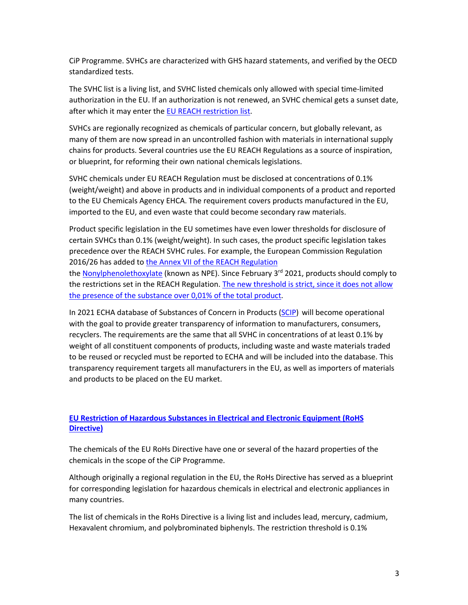CiP Programme. SVHCs are characterized with GHS hazard statements, and verified by the OECD standardized tests.

The SVHC list is a living list, and SVHC listed chemicals only allowed with special time-limited authorization in the EU. If an authorization is not renewed, an SVHC chemical gets a sunset date, after which it may enter the EU REACH restriction list.

SVHCs are regionally recognized as chemicals of particular concern, but globally relevant, as many of them are now spread in an uncontrolled fashion with materials in international supply chains for products. Several countries use the EU REACH Regulations as a source of inspiration, or blueprint, for reforming their own national chemicals legislations.

SVHC chemicals under EU REACH Regulation must be disclosed at concentrations of 0.1% (weight/weight) and above in products and in individual components of a product and reported to the EU Chemicals Agency EHCA. The requirement covers products manufactured in the EU, imported to the EU, and even waste that could become secondary raw materials.

Product specific legislation in the EU sometimes have even lower thresholds for disclosure of certain SVHCs than 0.1% (weight/weight). In such cases, the product specific legislation takes precedence over the REACH SVHC rules. For example, the European Commission Regulation 2016/26 has added to the Annex VII of the REACH Regulation

the Nonylphenolethoxylate (known as NPE). Since February 3<sup>rd</sup> 2021, products should comply to the restrictions set in the REACH Regulation. The new threshold is strict, since it does not allow the presence of the substance over 0,01% of the total product.

In 2021 ECHA database of Substances of Concern in Products (SCIP) will become operational with the goal to provide greater transparency of information to manufacturers, consumers, recyclers. The requirements are the same that all SVHC in concentrations of at least 0.1% by weight of all constituent components of products, including waste and waste materials traded to be reused or recycled must be reported to ECHA and will be included into the database. This transparency requirement targets all manufacturers in the EU, as well as importers of materials and products to be placed on the EU market.

# **EU Restriction of Hazardous Substances in Electrical and Electronic Equipment (RoHS Directive)**

The chemicals of the EU RoHs Directive have one or several of the hazard properties of the chemicals in the scope of the CiP Programme.

Although originally a regional regulation in the EU, the RoHs Directive has served as a blueprint for corresponding legislation for hazardous chemicals in electrical and electronic appliances in many countries.

The list of chemicals in the RoHs Directive is a living list and includes lead, mercury, cadmium, Hexavalent chromium, and polybrominated biphenyls. The restriction threshold is 0.1%